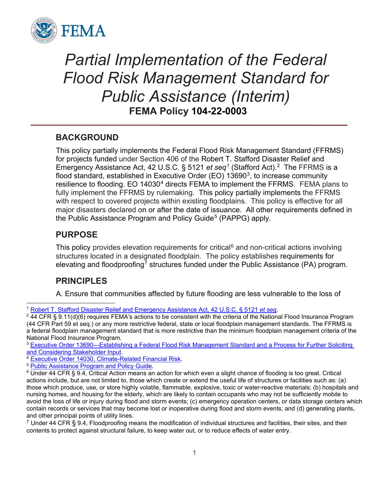

# *Partial Implementation of the Federal Flood Risk Management Standard for Public Assistance (Interim)* **FEMA Policy 104-22-0003**

# **BACKGROUND**

This policy partially implements the Federal Flood Risk Management Standard (FFRMS) for projects funded under Section 406 of the Robert T. Stafford Disaster Relief and Emergency Assistance Act, 42 U.S.C. § 5121 *et seq[1](#page-0-0)* (Stafford Act).[2](#page-0-1) The FFRMS is a flood standard, established in Executive Order (EO)  $13690<sup>3</sup>$ , to increase community resilience to flooding. EO 1[4](#page-0-3)030<sup>4</sup> directs FEMA to implement the FFRMS. FEMA plans to fully implement the FFRMS by rulemaking. This policy partially implements the FFRMS with respect to covered projects within existing floodplains. This policy is effective for all major disasters declared on or after the date of issuance. All other requirements defined in the Public Assistance Program and Policy Guide<sup>[5](#page-0-4)</sup> (PAPPG) apply.

# **PURPOSE**

This policy provides elevation requirements for critical $6$  and non-critical actions involving structures located in a designated floodplain. The policy establishes requirements for elevating and floodproofing<sup>[7](#page-0-6)</sup> structures funded under the Public Assistance (PA) program.

# **PRINCIPLES**

A. Ensure that communities affected by future flooding are less vulnerable to the loss of

<span id="page-0-1"></span><span id="page-0-0"></span><sup>&</sup>lt;sup>1</sup> <u>Robert T. Stafford Disaster Relief and Emergency Assistance Act, 42 U.S.C. § 5121 *et seq.*<br><sup>2</sup> 44 CFR § 9.11(d)(6) requires FEMA's actions to be consistent with the criteria of the National Flood Insurance Program</u> (44 CFR Part 59 et seq.) or any more restrictive federal, state or local floodplain management standards. The FFRMS is a federal floodplain management standard that is more restrictive than the minimum floodplain management criteria of the National Flood Insurance Program.

<span id="page-0-2"></span><sup>&</sup>lt;sup>3</sup> Executive Order 13690—Establishing a Federal Flood Risk Management Standard and a Process for Further Soliciting<br>and Considering Stakeholder Input.

<span id="page-0-5"></span><span id="page-0-4"></span>

<span id="page-0-3"></span><sup>&</sup>lt;sup>4</sup> [Executive Order 14030, Climate-Related Financial Risk.](https://www.federalregister.gov/documents/2021/05/25/2021-11168/climate-related-financial-risk)<br><sup>5</sup> <u>Public Assistance Program and Policy Guide</u>.<br><sup>6</sup> Under 44 CFR § 9.4, Critical Action means an action for which even a slight chance of flooding is too great. actions include, but are not limited to, those which create or extend the useful life of structures or facilities such as: (a) those which produce, use, or store highly volatile, flammable, explosive, toxic or water-reactive materials; (b) hospitals and nursing homes, and housing for the elderly, which are likely to contain occupants who may not be sufficiently mobile to avoid the loss of life or injury during flood and storm events; (c) emergency operation centers, or data storage centers which contain records or services that may become lost or inoperative during flood and storm events; and (d) generating plants, and other principal points of utility lines.

<span id="page-0-6"></span> $7$  Under 44 CFR § 9.4, Floodproofing means the modification of individual structures and facilities, their sites, and their contents to protect against structural failure, to keep water out, or to reduce effects of water entry.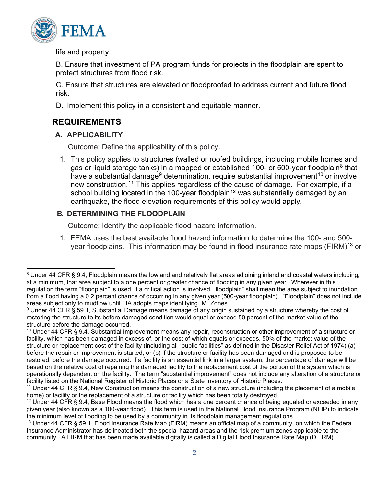

life and property.

B. Ensure that investment of PA program funds for projects in the floodplain are spent to protect structures from flood risk.

C. Ensure that structures are elevated or floodproofed to address current and future flood risk.

D. Implement this policy in a consistent and equitable manner.

# **REQUIREMENTS**

### **A. APPLICABILITY**

Outcome: Define the applicability of this policy.

1. This policy applies to structures (walled or roofed buildings, including mobile homes and gas or liquid storage tanks) in a mapped or established 100- or 500-year floodplain<sup>[8](#page-1-0)</sup> that have a substantial damage<sup>[9](#page-1-1)</sup> determination, require substantial improvement<sup>[10](#page-1-2)</sup> or involve new construction.<sup>[11](#page-1-3)</sup> This applies regardless of the cause of damage. For example, if a school building located in the 100-year floodplain<sup>[12](#page-1-4)</sup> was substantially damaged by an earthquake, the flood elevation requirements of this policy would apply.

## **B. DETERMINING THE FLOODPLAIN**

Outcome: Identify the applicable flood hazard information.

1. FEMA uses the best available flood hazard information to determine the 100- and 500- year floodplains. This information may be found in flood insurance rate maps (FIRM)<sup>[13](#page-1-5)</sup> or

<span id="page-1-0"></span><sup>&</sup>lt;sup>8</sup> Under 44 CFR § 9.4, Floodplain means the lowland and relatively flat areas adjoining inland and coastal waters including, at a minimum, that area subject to a one percent or greater chance of flooding in any given year. Wherever in this regulation the term "floodplain" is used, if a critical action is involved, "floodplain" shall mean the area subject to inundation from a flood having a 0.2 percent chance of occurring in any given year (500-year floodplain). "Floodplain" does not include areas subject only to mudflow until FIA adopts maps identifying "M" Zones.

<span id="page-1-1"></span><sup>9</sup> Under 44 CFR § 59.1, Substantial Damage means damage of any origin sustained by a structure whereby the cost of restoring the structure to its before damaged condition would equal or exceed 50 percent of the market value of the structure before the damage occurred.

<span id="page-1-2"></span><sup>&</sup>lt;sup>10</sup> Under 44 CFR § 9.4, Substantial Improvement means any repair, reconstruction or other improvement of a structure or facility, which has been damaged in excess of, or the cost of which equals or exceeds, 50% of the market value of the structure or replacement cost of the facility (including all "public facilities" as defined in the Disaster Relief Act of 1974) (a) before the repair or improvement is started, or (b) if the structure or facility has been damaged and is proposed to be restored, before the damage occurred. If a facility is an essential link in a larger system, the percentage of damage will be based on the relative cost of repairing the damaged facility to the replacement cost of the portion of the system which is operationally dependent on the facility. The term "substantial improvement" does not include any alteration of a structure or facility listed on the National Register of Historic Places or a State Inventory of Historic Places.

<span id="page-1-3"></span><sup>&</sup>lt;sup>11</sup> Under 44 CFR § 9.4, New Construction means the construction of a new structure (including the placement of a mobile home) or facility or the replacement of a structure or facility which has been totally destroyed.

<span id="page-1-4"></span> $12$  Under 44 CFR § 9.4, Base Flood means the flood which has a one percent chance of being equaled or exceeded in any given year (also known as a 100-year flood). This term is used in the National Flood Insurance Program (NFIP) to indicate the minimum level of flooding to be used by a community in its floodplain management regulations.

<span id="page-1-5"></span><sup>&</sup>lt;sup>13</sup> Under 44 CFR § 59.1, Flood Insurance Rate Map (FIRM) means an official map of a community, on which the Federal Insurance Administrator has delineated both the special hazard areas and the risk premium zones applicable to the community. A FIRM that has been made available digitally is called a Digital Flood Insurance Rate Map (DFIRM).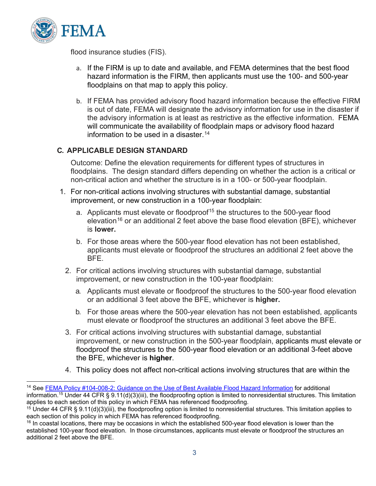

flood insurance studies (FIS).

- a. If the FIRM is up to date and available, and FEMA determines that the best flood hazard information is the FIRM, then applicants must use the 100- and 500-year floodplains on that map to apply this policy.
- b. If FEMA has provided advisory flood hazard information because the effective FIRM is out of date, FEMA will designate the advisory information for use in the disaster if the advisory information is at least as restrictive as the effective information. FEMA will communicate the availability of floodplain maps or advisory flood hazard information to be used in a disaster.  $14$

#### **C. APPLICABLE DESIGN STANDARD**

Outcome: Define the elevation requirements for different types of structures in floodplains. The design standard differs depending on whether the action is a critical or non-critical action and whether the structure is in a 100- or 500-year floodplain.

- 1. For non-critical actions involving structures with substantial damage, substantial improvement, or new construction in a 100-year floodplain:
	- a. Applicants must elevate or floodproof<sup>[15](#page-2-1)</sup> the structures to the 500-year flood elevation<sup>[16](#page-2-2)</sup> or an additional 2 feet above the base flood elevation (BFE), whichever is **lower.**
	- b. For those areas where the 500-year flood elevation has not been established, applicants must elevate or floodproof the structures an additional 2 feet above the BFE.
	- 2. For critical actions involving structures with substantial damage, substantial improvement, or new construction in the 100-year floodplain:
		- a. Applicants must elevate or floodproof the structures to the 500-year flood elevation or an additional 3 feet above the BFE, whichever is **higher.**
		- b. For those areas where the 500-year elevation has not been established, applicants must elevate or floodproof the structures an additional 3 feet above the BFE.
	- 3. For critical actions involving structures with substantial damage, substantial improvement, or new construction in the 500-year floodplain, applicants must elevate or floodproof the structures to the 500-year flood elevation or an additional 3-feet above the BFE, whichever is **higher**.
	- 4. This policy does not affect non-critical actions involving structures that are within the

<span id="page-2-0"></span><sup>&</sup>lt;sup>14</sup> See [FEMA Policy #104-008-2: Guidance on the Use of Best Available Flood Hazard Information](https://www.fema.gov/sites/default/files/2020-04/Available_Flood_Hazard_Information_Policy_104-008-2.pdf?msclkid=4af3663dc0ec11ec8deefc8fc34b0c5d) for additional information.<sup>15</sup> Under 44 CFR § 9.11(d)(3)(iii), the floodproofing option is limited to nonresidential structures. This limitation applies to each section of this policy in which FEMA has referenced floodproofing.

<span id="page-2-1"></span> $15$  Under 44 CFR § 9.11(d)(3)(iii), the floodproofing option is limited to nonresidential structures. This limitation applies to each section of this policy in which FEMA has referenced floodproofing.

<span id="page-2-2"></span><sup>&</sup>lt;sup>16</sup> In coastal locations, there may be occasions in which the established 500-year flood elevation is lower than the established 100-year flood elevation. In those circumstances, applicants must elevate or floodproof the structures an additional 2 feet above the BFE.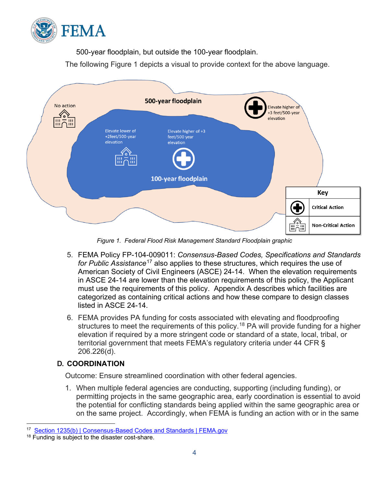

500-year floodplain, but outside the 100-year floodplain.

The following Figure 1 depicts a visual to provide context for the above language.



*Figure 1. Federal Flood Risk Management Standard Floodplain graphic*

- 5. FEMA Policy FP-104-009011: *Consensus-Based Codes, Specifications and Standards for Public Assistance*[17](#page-3-0) also applies to these structures, which requires the use of American Society of Civil Engineers (ASCE) 24-14. When the elevation requirements in ASCE 24-14 are lower than the elevation requirements of this policy, the Applicant must use the requirements of this policy. Appendix A describes which facilities are categorized as containing critical actions and how these compare to design classes listed in ASCE 24-14.
- 6. FEMA provides PA funding for costs associated with elevating and floodproofing structures to meet the requirements of this policy. [18](#page-3-1) PA will provide funding for a higher elevation if required by a more stringent code or standard of a state, local, tribal, or territorial government that meets FEMA's regulatory criteria under 44 CFR § 206.226(d).

# **D. COORDINATION**

Outcome: Ensure streamlined coordination with other federal agencies.

1. When multiple federal agencies are conducting, supporting (including funding), or permitting projects in the same geographic area, early coordination is essential to avoid the potential for conflicting standards being applied within the same geographic area or on the same project. Accordingly, when FEMA is funding an action with or in the same

<span id="page-3-0"></span><sup>17</sup> [Section 1235\(b\) | Consensus-Based Codes and Standards | FEMA.gov](https://www.fema.gov/assistance/public/policy-guidance-fact-sheets/section-1235b-consensus-based-codes-and-standards)

<span id="page-3-1"></span><sup>&</sup>lt;sup>18</sup> Funding is subject to the disaster cost-share.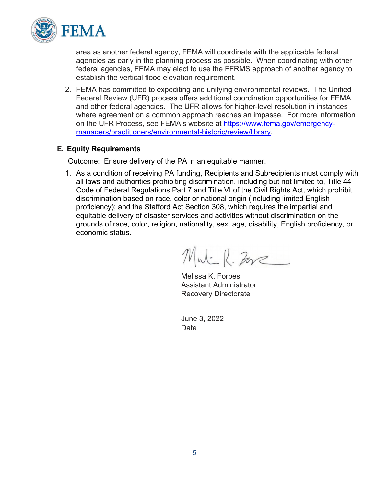

area as another federal agency, FEMA will coordinate with the applicable federal agencies as early in the planning process as possible. When coordinating with other federal agencies, FEMA may elect to use the FFRMS approach of another agency to establish the vertical flood elevation requirement.

2. FEMA has committed to expediting and unifying environmental reviews. The Unified Federal Review (UFR) process offers additional coordination opportunities for FEMA and other federal agencies. The UFR allows for higher-level resolution in instances where agreement on a common approach reaches an impasse. For more information on the UFR Process, see FEMA's website at [https://www.fema.gov/emergency](https://www.fema.gov/emergency-managers/practitioners/environmental-historic/review/library)[managers/practitioners/environmental-historic/review/library.](https://www.fema.gov/emergency-managers/practitioners/environmental-historic/review/library)

#### **E. Equity Requirements**

Outcome: Ensure delivery of the PA in an equitable manner.

1. As a condition of receiving PA funding, Recipients and Subrecipients must comply with all laws and authorities prohibiting discrimination, including but not limited to, Title 44 Code of Federal Regulations Part 7 and Title VI of the Civil Rights Act, which prohibit discrimination based on race, color or national origin (including limited English proficiency); and the Stafford Act Section 308, which requires the impartial and equitable delivery of disaster services and activities without discrimination on the grounds of race, color, religion, nationality, sex, age, disability, English proficiency, or economic status.

MW-K. Zore

Melissa K. Forbes Assistant Administrator Recovery Directorate

June 3, 2022

Date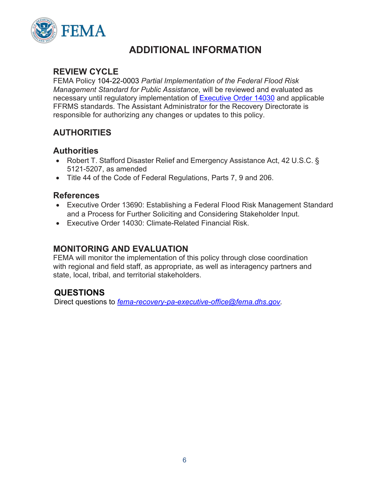

# **ADDITIONAL INFORMATION**

### **REVIEW CYCLE**

FEMA Policy 104-22-0003 *Partial Implementation of the Federal Flood Risk Management Standard for Public Assistance,* will be reviewed and evaluated as necessary until regulatory implementation of [Executive Order 14030](https://www.federalregister.gov/documents/2021/05/25/2021-11168/climate-related-financial-risk) and applicable FFRMS standards. The Assistant Administrator for the Recovery Directorate is responsible for authorizing any changes or updates to this policy.

# **AUTHORITIES**

### **Authorities**

- Robert T. Stafford Disaster Relief and Emergency Assistance Act, 42 U.S.C. § 5121-5207, as amended
- Title 44 of the Code of Federal Regulations, Parts 7, 9 and 206.

#### **References**

- Executive Order 13690: Establishing a Federal Flood Risk Management Standard and a Process for Further Soliciting and Considering Stakeholder Input.
- Executive Order 14030: Climate-Related Financial Risk.

## **MONITORING AND EVALUATION**

FEMA will monitor the implementation of this policy through close coordination with regional and field staff, as appropriate, as well as interagency partners and state, local, tribal, and territorial stakeholders.

# **QUESTIONS**

Direct questions to *[fema-recovery-pa-executive-office@fema.dhs.gov.](mailto:fema-recovery-pa-executive-office@fema.dhs.gov)*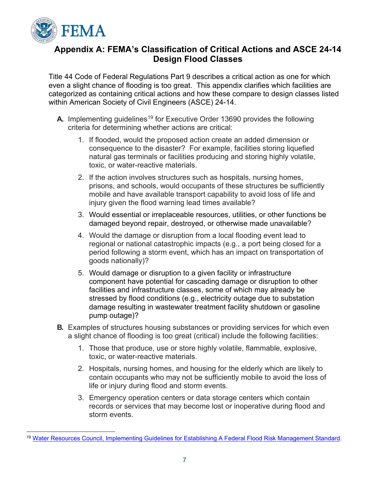

## **Appendix A: FEMA's Classification of Critical Actions and ASCE 24-14 Design Flood Classes**

Title 44 Code of Federal Regulations Part 9 describes a critical action as one for which even a slight chance of flooding is too great. This appendix clarifies which facilities are categorized as containing critical actions and how these compare to design classes listed within American Society of Civil Engineers (ASCE) 24-14.

- **A.** Implementing guidelines<sup>[19](#page-6-0)</sup> for Executive Order 13690 provides the following criteria for determining whether actions are critical:
	- 1. If flooded, would the proposed action create an added dimension or consequence to the disaster? For example, facilities storing liquefied natural gas terminals or facilities producing and storing highly volatile, toxic, or water-reactive materials.
	- 2. If the action involves structures such as hospitals, nursing homes, prisons, and schools, would occupants of these structures be sufficiently mobile and have available transport capability to avoid loss of life and injury given the flood warning lead times available?
	- 3. Would essential or irreplaceable resources, utilities, or other functions be damaged beyond repair, destroyed, or otherwise made unavailable?
	- 4. Would the damage or disruption from a local flooding event lead to regional or national catastrophic impacts (e.g., a port being closed for a period following a storm event, which has an impact on transportation of goods nationally)?
	- 5. Would damage or disruption to a given facility or infrastructure component have potential for cascading damage or disruption to other facilities and infrastructure classes, some of which may already be stressed by flood conditions (e.g., electricity outage due to substation damage resulting in wastewater treatment facility shutdown or gasoline pump outage)?
- **B.** Examples of structures housing substances or providing services for which even a slight chance of flooding is too great (critical) include the following facilities:
	- 1. Those that produce, use or store highly volatile, flammable, explosive, toxic, or water-reactive materials.
	- 2. Hospitals, nursing homes, and housing for the elderly which are likely to contain occupants who may not be sufficiently mobile to avoid the loss of life or injury during flood and storm events.
	- 3. Emergency operation centers or data storage centers which contain records or services that may become lost or inoperative during flood and storm events.

<span id="page-6-0"></span><sup>19</sup> Water Resources Council, [Implementing Guidelines for Establishing A Federal Flood Risk Management Standard.](https://www.federalregister.gov/documents/2015/10/22/2015-26839/guidelines-for-implementing-executive-order-11988-floodplain-management-and-executive-order-13690)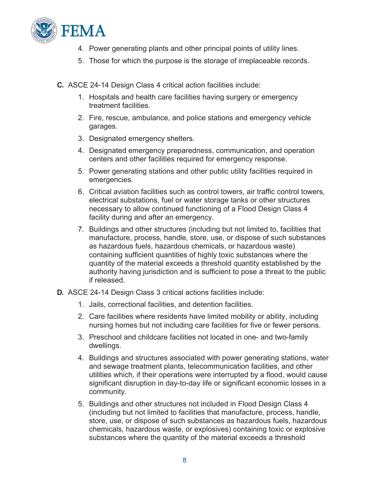

- 4. Power generating plants and other principal points of utility lines.
- 5. Those for which the purpose is the storage of irreplaceable records.
- **C.** ASCE 24-14 Design Class 4 critical action facilities include:
	- 1. Hospitals and health care facilities having surgery or emergency treatment facilities.
	- 2. Fire, rescue, ambulance, and police stations and emergency vehicle garages.
	- 3. Designated emergency shelters.
	- 4. Designated emergency preparedness, communication, and operation centers and other facilities required for emergency response.
	- 5. Power generating stations and other public utility facilities required in emergencies.
	- 6. Critical aviation facilities such as control towers, air traffic control towers, electrical substations, fuel or water storage tanks or other structures necessary to allow continued functioning of a Flood Design Class 4 facility during and after an emergency.
	- 7. Buildings and other structures (including but not limited to, facilities that manufacture, process, handle, store, use, or dispose of such substances as hazardous fuels, hazardous chemicals, or hazardous waste) containing sufficient quantities of highly toxic substances where the quantity of the material exceeds a threshold quantity established by the authority having jurisdiction and is sufficient to pose a threat to the public if released.
- **D.** ASCE 24-14 Design Class 3 critical actions facilities include:
	- 1. Jails, correctional facilities, and detention facilities.
	- 2. Care facilities where residents have limited mobility or ability, including nursing homes but not including care facilities for five or fewer persons.
	- 3. Preschool and childcare facilities not located in one- and two-family dwellings.
	- 4. Buildings and structures associated with power generating stations, water and sewage treatment plants, telecommunication facilities, and other utilities which, if their operations were interrupted by a flood, would cause significant disruption in day-to-day life or significant economic losses in a community.
	- 5. Buildings and other structures not included in Flood Design Class 4 (including but not limited to facilities that manufacture, process, handle, store, use, or dispose of such substances as hazardous fuels, hazardous chemicals, hazardous waste, or explosives) containing toxic or explosive substances where the quantity of the material exceeds a threshold